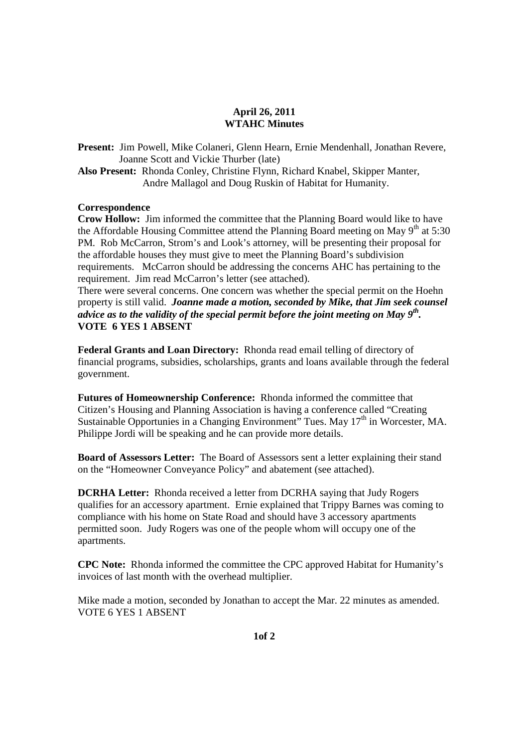### **April 26, 2011 WTAHC Minutes**

**Present:** Jim Powell, Mike Colaneri, Glenn Hearn, Ernie Mendenhall, Jonathan Revere, Joanne Scott and Vickie Thurber (late)

**Also Present:** Rhonda Conley, Christine Flynn, Richard Knabel, Skipper Manter, Andre Mallagol and Doug Ruskin of Habitat for Humanity.

#### **Correspondence**

**Crow Hollow:** Jim informed the committee that the Planning Board would like to have the Affordable Housing Committee attend the Planning Board meeting on May  $9<sup>th</sup>$  at 5:30 PM. Rob McCarron, Strom's and Look's attorney, will be presenting their proposal for the affordable houses they must give to meet the Planning Board's subdivision requirements. McCarron should be addressing the concerns AHC has pertaining to the requirement. Jim read McCarron's letter (see attached).

There were several concerns. One concern was whether the special permit on the Hoehn property is still valid. *Joanne made a motion, seconded by Mike, that Jim seek counsel advice as to the validity of the special permit before the joint meeting on May 9th .*  **VOTE 6 YES 1 ABSENT** 

**Federal Grants and Loan Directory:** Rhonda read email telling of directory of financial programs, subsidies, scholarships, grants and loans available through the federal government.

**Futures of Homeownership Conference:** Rhonda informed the committee that Citizen's Housing and Planning Association is having a conference called "Creating Sustainable Opportunies in a Changing Environment" Tues. May  $17<sup>th</sup>$  in Worcester, MA. Philippe Jordi will be speaking and he can provide more details.

**Board of Assessors Letter:** The Board of Assessors sent a letter explaining their stand on the "Homeowner Conveyance Policy" and abatement (see attached).

**DCRHA Letter:** Rhonda received a letter from DCRHA saying that Judy Rogers qualifies for an accessory apartment. Ernie explained that Trippy Barnes was coming to compliance with his home on State Road and should have 3 accessory apartments permitted soon. Judy Rogers was one of the people whom will occupy one of the apartments.

**CPC Note:** Rhonda informed the committee the CPC approved Habitat for Humanity's invoices of last month with the overhead multiplier.

Mike made a motion, seconded by Jonathan to accept the Mar. 22 minutes as amended. VOTE 6 YES 1 ABSENT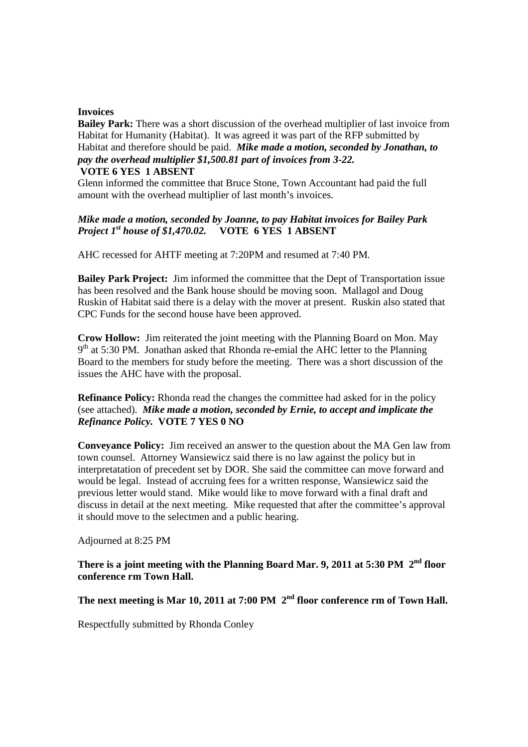#### **Invoices**

**Bailey Park:** There was a short discussion of the overhead multiplier of last invoice from Habitat for Humanity (Habitat). It was agreed it was part of the RFP submitted by Habitat and therefore should be paid. *Mike made a motion, seconded by Jonathan, to pay the overhead multiplier \$1,500.81 part of invoices from 3-22.* 

## **VOTE 6 YES 1 ABSENT**

Glenn informed the committee that Bruce Stone, Town Accountant had paid the full amount with the overhead multiplier of last month's invoices.

## *Mike made a motion, seconded by Joanne, to pay Habitat invoices for Bailey Park Project 1st house of \$1,470.02.* **VOTE 6 YES 1 ABSENT**

AHC recessed for AHTF meeting at 7:20PM and resumed at 7:40 PM.

**Bailey Park Project:** Jim informed the committee that the Dept of Transportation issue has been resolved and the Bank house should be moving soon. Mallagol and Doug Ruskin of Habitat said there is a delay with the mover at present. Ruskin also stated that CPC Funds for the second house have been approved.

**Crow Hollow:** Jim reiterated the joint meeting with the Planning Board on Mon. May 9<sup>th</sup> at 5:30 PM. Jonathan asked that Rhonda re-emial the AHC letter to the Planning Board to the members for study before the meeting. There was a short discussion of the issues the AHC have with the proposal.

**Refinance Policy:** Rhonda read the changes the committee had asked for in the policy (see attached). *Mike made a motion, seconded by Ernie, to accept and implicate the Refinance Policy.* **VOTE 7 YES 0 NO** 

**Conveyance Policy:** Jim received an answer to the question about the MA Gen law from town counsel. Attorney Wansiewicz said there is no law against the policy but in interpretatation of precedent set by DOR. She said the committee can move forward and would be legal. Instead of accruing fees for a written response, Wansiewicz said the previous letter would stand. Mike would like to move forward with a final draft and discuss in detail at the next meeting. Mike requested that after the committee's approval it should move to the selectmen and a public hearing.

Adjourned at 8:25 PM

**There is a joint meeting with the Planning Board Mar. 9, 2011 at 5:30 PM 2nd floor conference rm Town Hall.** 

**The next meeting is Mar 10, 2011 at 7:00 PM 2nd floor conference rm of Town Hall.**

Respectfully submitted by Rhonda Conley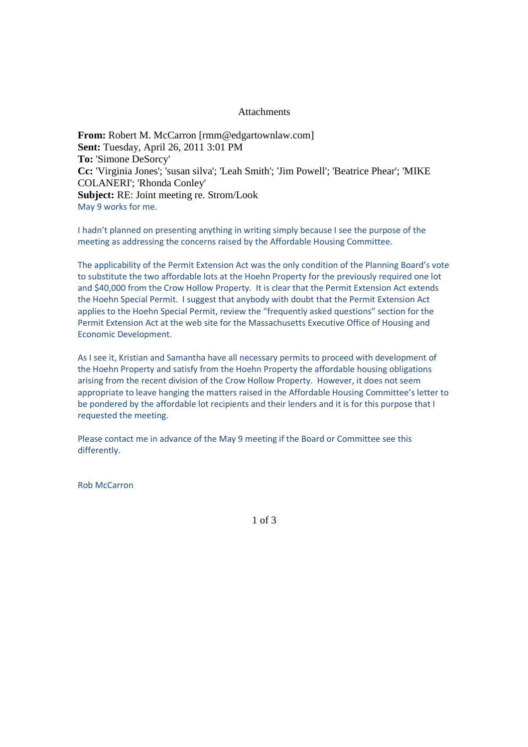#### Attachments

**From:** Robert M. McCarron [rmm@edgartownlaw.com] **Sent:** Tuesday, April 26, 2011 3:01 PM **To:** 'Simone DeSorcy' **Cc:** 'Virginia Jones'; 'susan silva'; 'Leah Smith'; 'Jim Powell'; 'Beatrice Phear'; 'MIKE COLANERI'; 'Rhonda Conley' **Subject:** RE: Joint meeting re. Strom/Look May 9 works for me.

I hadn't planned on presenting anything in writing simply because I see the purpose of the meeting as addressing the concerns raised by the Affordable Housing Committee.

The applicability of the Permit Extension Act was the only condition of the Planning Board's vote to substitute the two affordable lots at the Hoehn Property for the previously required one lot and \$40,000 from the Crow Hollow Property. It is clear that the Permit Extension Act extends the Hoehn Special Permit. I suggest that anybody with doubt that the Permit Extension Act applies to the Hoehn Special Permit, review the "frequently asked questions" section for the Permit Extension Act at the web site for the Massachusetts Executive Office of Housing and Economic Development.

As I see it, Kristian and Samantha have all necessary permits to proceed with development of the Hoehn Property and satisfy from the Hoehn Property the affordable housing obligations arising from the recent division of the Crow Hollow Property. However, it does not seem appropriate to leave hanging the matters raised in the Affordable Housing Committee's letter to be pondered by the affordable lot recipients and their lenders and it is for this purpose that I requested the meeting.

Please contact me in advance of the May 9 meeting if the Board or Committee see this differently.

Rob McCarron

1 of 3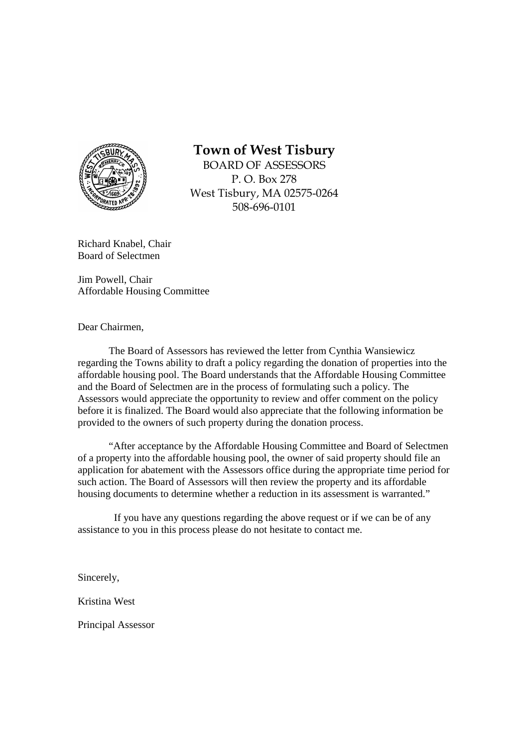

# **Town of West Tisbury**

BOARD OF ASSESSORS P. O. Box 278 West Tisbury, MA 02575-0264 508-696-0101

Richard Knabel, Chair Board of Selectmen

Jim Powell, Chair Affordable Housing Committee

Dear Chairmen,

The Board of Assessors has reviewed the letter from Cynthia Wansiewicz regarding the Towns ability to draft a policy regarding the donation of properties into the affordable housing pool. The Board understands that the Affordable Housing Committee and the Board of Selectmen are in the process of formulating such a policy. The Assessors would appreciate the opportunity to review and offer comment on the policy before it is finalized. The Board would also appreciate that the following information be provided to the owners of such property during the donation process.

"After acceptance by the Affordable Housing Committee and Board of Selectmen of a property into the affordable housing pool, the owner of said property should file an application for abatement with the Assessors office during the appropriate time period for such action. The Board of Assessors will then review the property and its affordable housing documents to determine whether a reduction in its assessment is warranted."

 If you have any questions regarding the above request or if we can be of any assistance to you in this process please do not hesitate to contact me.

Sincerely,

Kristina West

Principal Assessor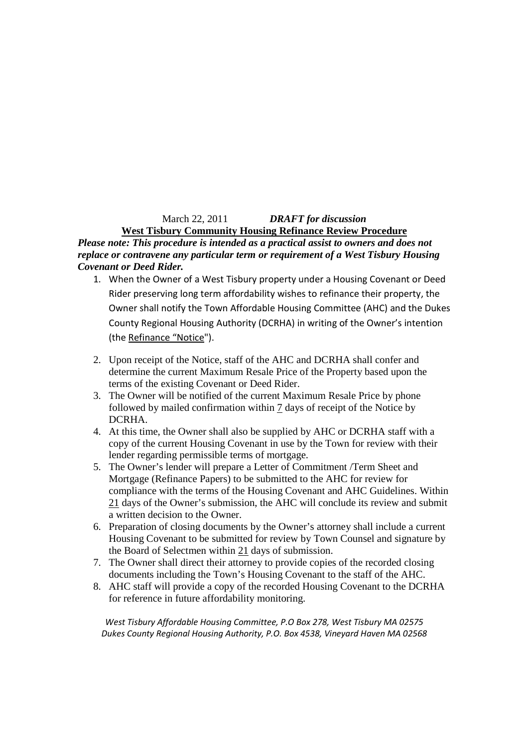## March 22, 2011 *DRAFT for discussion*

**West Tisbury Community Housing Refinance Review Procedure** *Please note: This procedure is intended as a practical assist to owners and does not replace or contravene any particular term or requirement of a West Tisbury Housing Covenant or Deed Rider.* 

- 1. When the Owner of a West Tisbury property under a Housing Covenant or Deed Rider preserving long term affordability wishes to refinance their property, the Owner shall notify the Town Affordable Housing Committee (AHC) and the Dukes County Regional Housing Authority (DCRHA) in writing of the Owner's intention (the Refinance "Notice").
- 2. Upon receipt of the Notice, staff of the AHC and DCRHA shall confer and determine the current Maximum Resale Price of the Property based upon the terms of the existing Covenant or Deed Rider.
- 3. The Owner will be notified of the current Maximum Resale Price by phone followed by mailed confirmation within 7 days of receipt of the Notice by DCRHA.
- 4. At this time, the Owner shall also be supplied by AHC or DCRHA staff with a copy of the current Housing Covenant in use by the Town for review with their lender regarding permissible terms of mortgage.
- 5. The Owner's lender will prepare a Letter of Commitment /Term Sheet and Mortgage (Refinance Papers) to be submitted to the AHC for review for compliance with the terms of the Housing Covenant and AHC Guidelines. Within 21 days of the Owner's submission, the AHC will conclude its review and submit a written decision to the Owner.
- 6. Preparation of closing documents by the Owner's attorney shall include a current Housing Covenant to be submitted for review by Town Counsel and signature by the Board of Selectmen within 21 days of submission.
- 7. The Owner shall direct their attorney to provide copies of the recorded closing documents including the Town's Housing Covenant to the staff of the AHC.
- 8. AHC staff will provide a copy of the recorded Housing Covenant to the DCRHA for reference in future affordability monitoring.

*West Tisbury Affordable Housing Committee, P.O Box 278, West Tisbury MA 02575 Dukes County Regional Housing Authority, P.O. Box 4538, Vineyard Haven MA 02568*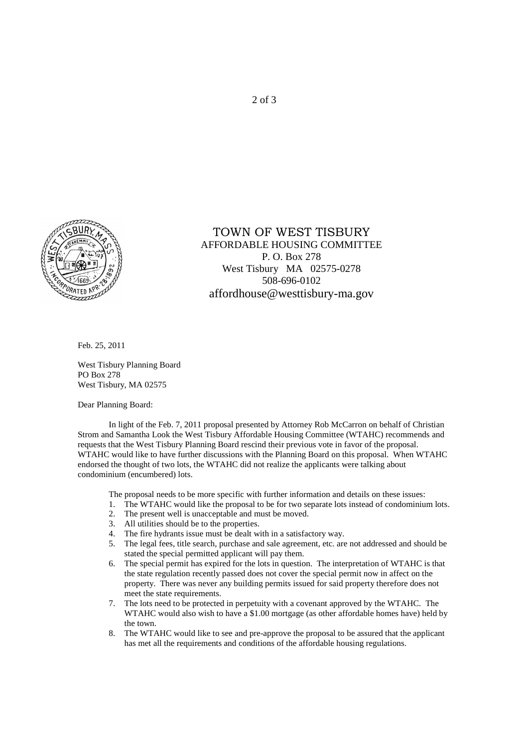

## TOWN OF WEST TISBURY AFFORDABLE HOUSING COMMITTEE P. O. Box 278 West Tisbury MA 02575-0278 508-696-0102 affordhouse@westtisbury-ma.gov

Feb. 25, 2011

West Tisbury Planning Board PO Box 278 West Tisbury, MA 02575

Dear Planning Board:

 In light of the Feb. 7, 2011 proposal presented by Attorney Rob McCarron on behalf of Christian Strom and Samantha Look the West Tisbury Affordable Housing Committee (WTAHC) recommends and requests that the West Tisbury Planning Board rescind their previous vote in favor of the proposal. WTAHC would like to have further discussions with the Planning Board on this proposal. When WTAHC endorsed the thought of two lots, the WTAHC did not realize the applicants were talking about condominium (encumbered) lots.

The proposal needs to be more specific with further information and details on these issues:

- 1. The WTAHC would like the proposal to be for two separate lots instead of condominium lots.<br>2. The present well is unacceptable and must be moved.
- The present well is unacceptable and must be moved.
- 3. All utilities should be to the properties.
- 4. The fire hydrants issue must be dealt with in a satisfactory way.
- 5. The legal fees, title search, purchase and sale agreement, etc. are not addressed and should be stated the special permitted applicant will pay them.
- 6. The special permit has expired for the lots in question. The interpretation of WTAHC is that the state regulation recently passed does not cover the special permit now in affect on the property. There was never any building permits issued for said property therefore does not meet the state requirements.
- 7. The lots need to be protected in perpetuity with a covenant approved by the WTAHC. The WTAHC would also wish to have a \$1.00 mortgage (as other affordable homes have) held by the town.
- 8. The WTAHC would like to see and pre-approve the proposal to be assured that the applicant has met all the requirements and conditions of the affordable housing regulations.